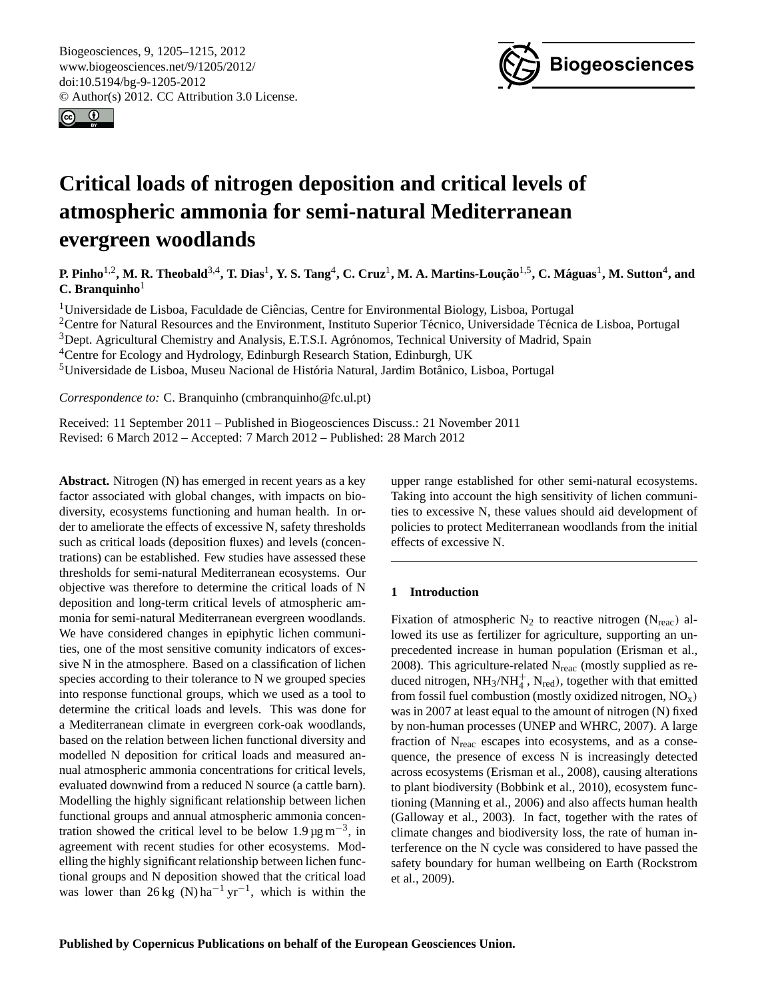<span id="page-0-0"></span>Biogeosciences, 9, 1205–1215, 2012 www.biogeosciences.net/9/1205/2012/ doi:10.5194/bg-9-1205-2012 © Author(s) 2012. CC Attribution 3.0 License.





# **Critical loads of nitrogen deposition and critical levels of atmospheric ammonia for semi-natural Mediterranean evergreen woodlands**

**P. Pinho**1,2**, M. R. Theobald**3,4**, T. Dias**<sup>1</sup> **, Y. S. Tang**<sup>4</sup> **, C. Cruz**<sup>1</sup> **, M. A. Martins-Louc¸ao˜** 1,5**, C. Maguas ´** 1 **, M. Sutton**<sup>4</sup> **, and C.** Branquinho<sup>1</sup>

<sup>1</sup>Universidade de Lisboa, Faculdade de Ciencias, Centre for Environmental Biology, Lisboa, Portugal ˆ <sup>2</sup>Centre for Natural Resources and the Environment, Instituto Superior Técnico, Universidade Técnica de Lisboa, Portugal

<sup>3</sup>Dept. Agricultural Chemistry and Analysis, E.T.S.I. Agrónomos, Technical University of Madrid, Spain

<sup>4</sup>Centre for Ecology and Hydrology, Edinburgh Research Station, Edinburgh, UK

<sup>5</sup>Universidade de Lisboa, Museu Nacional de História Natural, Jardim Botânico, Lisboa, Portugal

*Correspondence to:* C. Branquinho (cmbranquinho@fc.ul.pt)

Received: 11 September 2011 – Published in Biogeosciences Discuss.: 21 November 2011 Revised: 6 March 2012 – Accepted: 7 March 2012 – Published: 28 March 2012

**Abstract.** Nitrogen (N) has emerged in recent years as a key factor associated with global changes, with impacts on biodiversity, ecosystems functioning and human health. In order to ameliorate the effects of excessive N, safety thresholds such as critical loads (deposition fluxes) and levels (concentrations) can be established. Few studies have assessed these thresholds for semi-natural Mediterranean ecosystems. Our objective was therefore to determine the critical loads of N deposition and long-term critical levels of atmospheric ammonia for semi-natural Mediterranean evergreen woodlands. We have considered changes in epiphytic lichen communities, one of the most sensitive comunity indicators of excessive N in the atmosphere. Based on a classification of lichen species according to their tolerance to N we grouped species into response functional groups, which we used as a tool to determine the critical loads and levels. This was done for a Mediterranean climate in evergreen cork-oak woodlands, based on the relation between lichen functional diversity and modelled N deposition for critical loads and measured annual atmospheric ammonia concentrations for critical levels, evaluated downwind from a reduced N source (a cattle barn). Modelling the highly significant relationship between lichen functional groups and annual atmospheric ammonia concentration showed the critical level to be below  $1.9 \,\mathrm{\mu g\,m}^{-3}$ , in agreement with recent studies for other ecosystems. Modelling the highly significant relationship between lichen functional groups and N deposition showed that the critical load was lower than  $26 \text{ kg}$  (N) ha<sup>-1</sup> yr<sup>-1</sup>, which is within the

upper range established for other semi-natural ecosystems. Taking into account the high sensitivity of lichen communities to excessive N, these values should aid development of policies to protect Mediterranean woodlands from the initial effects of excessive N.

## **1 Introduction**

Fixation of atmospheric  $N_2$  to reactive nitrogen ( $N_{\text{reac}}$ ) allowed its use as fertilizer for agriculture, supporting an unprecedented increase in human population (Erisman et al., 2008). This agriculture-related  $N_{\text{reac}}$  (mostly supplied as reduced nitrogen,  $NH_3/NH_4^+$ ,  $N_{\text{red}}$ ), together with that emitted from fossil fuel combustion (mostly oxidized nitrogen,  $NO_x$ ) was in 2007 at least equal to the amount of nitrogen (N) fixed by non-human processes (UNEP and WHRC, 2007). A large fraction of  $N<sub>reac</sub>$  escapes into ecosystems, and as a consequence, the presence of excess N is increasingly detected across ecosystems (Erisman et al., 2008), causing alterations to plant biodiversity (Bobbink et al., 2010), ecosystem functioning (Manning et al., 2006) and also affects human health (Galloway et al., 2003). In fact, together with the rates of climate changes and biodiversity loss, the rate of human interference on the N cycle was considered to have passed the safety boundary for human wellbeing on Earth (Rockstrom et al., 2009).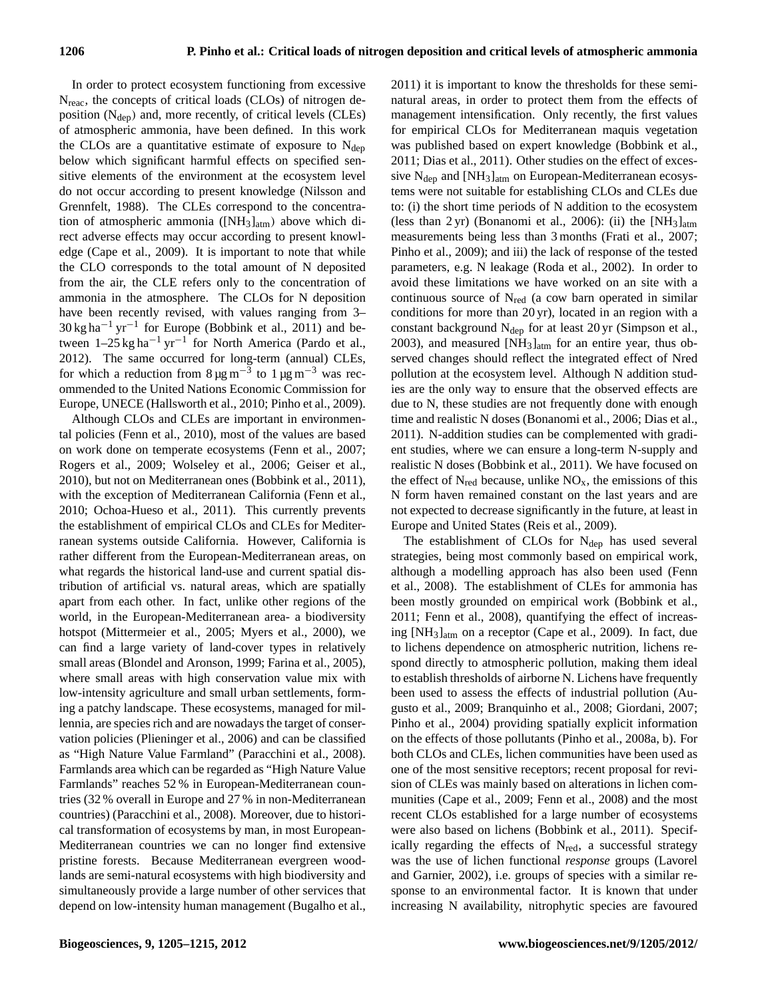In order to protect ecosystem functioning from excessive N<sub>reac</sub>, the concepts of critical loads (CLOs) of nitrogen deposition  $(N_{dep})$  and, more recently, of critical levels (CLEs) of atmospheric ammonia, have been defined. In this work the CLOs are a quantitative estimate of exposure to  $N_{den}$ below which significant harmful effects on specified sensitive elements of the environment at the ecosystem level do not occur according to present knowledge (Nilsson and Grennfelt, 1988). The CLEs correspond to the concentration of atmospheric ammonia ( $[NH_3]_{atm}$ ) above which direct adverse effects may occur according to present knowledge (Cape et al., 2009). It is important to note that while the CLO corresponds to the total amount of N deposited from the air, the CLE refers only to the concentration of ammonia in the atmosphere. The CLOs for N deposition have been recently revised, with values ranging from 3– 30 kg ha−<sup>1</sup> yr−<sup>1</sup> for Europe (Bobbink et al., 2011) and between  $1-25 \text{ kg ha}^{-1} \text{ yr}^{-1}$  for North America (Pardo et al., 2012). The same occurred for long-term (annual) CLEs, for which a reduction from  $8 \mu g m^{-3}$  to  $1 \mu g m^{-3}$  was recommended to the United Nations Economic Commission for Europe, UNECE (Hallsworth et al., 2010; Pinho et al., 2009).

Although CLOs and CLEs are important in environmental policies (Fenn et al., 2010), most of the values are based on work done on temperate ecosystems (Fenn et al., 2007; Rogers et al., 2009; Wolseley et al., 2006; Geiser et al., 2010), but not on Mediterranean ones (Bobbink et al., 2011), with the exception of Mediterranean California (Fenn et al., 2010; Ochoa-Hueso et al., 2011). This currently prevents the establishment of empirical CLOs and CLEs for Mediterranean systems outside California. However, California is rather different from the European-Mediterranean areas, on what regards the historical land-use and current spatial distribution of artificial vs. natural areas, which are spatially apart from each other. In fact, unlike other regions of the world, in the European-Mediterranean area- a biodiversity hotspot (Mittermeier et al., 2005; Myers et al., 2000), we can find a large variety of land-cover types in relatively small areas (Blondel and Aronson, 1999; Farina et al., 2005), where small areas with high conservation value mix with low-intensity agriculture and small urban settlements, forming a patchy landscape. These ecosystems, managed for millennia, are species rich and are nowadays the target of conservation policies (Plieninger et al., 2006) and can be classified as "High Nature Value Farmland" (Paracchini et al., 2008). Farmlands area which can be regarded as "High Nature Value Farmlands" reaches 52 % in European-Mediterranean countries (32 % overall in Europe and 27 % in non-Mediterranean countries) (Paracchini et al., 2008). Moreover, due to historical transformation of ecosystems by man, in most European-Mediterranean countries we can no longer find extensive pristine forests. Because Mediterranean evergreen woodlands are semi-natural ecosystems with high biodiversity and simultaneously provide a large number of other services that depend on low-intensity human management (Bugalho et al., 2011) it is important to know the thresholds for these seminatural areas, in order to protect them from the effects of management intensification. Only recently, the first values for empirical CLOs for Mediterranean maquis vegetation was published based on expert knowledge (Bobbink et al., 2011; Dias et al., 2011). Other studies on the effect of excessive N<sub>dep</sub> and [NH<sub>3</sub>]<sub>atm</sub> on European-Mediterranean ecosystems were not suitable for establishing CLOs and CLEs due to: (i) the short time periods of N addition to the ecosystem (less than 2 yr) (Bonanomi et al., 2006): (ii) the  $[NH_3]_{atm}$ measurements being less than 3 months (Frati et al., 2007; Pinho et al., 2009); and iii) the lack of response of the tested parameters, e.g. N leakage (Roda et al., 2002). In order to avoid these limitations we have worked on an site with a continuous source of  $N_{\text{red}}$  (a cow barn operated in similar conditions for more than 20 yr), located in an region with a constant background  $N_{\text{dep}}$  for at least 20 yr (Simpson et al., 2003), and measured  $[NH_3]_{atm}$  for an entire year, thus observed changes should reflect the integrated effect of Nred pollution at the ecosystem level. Although N addition studies are the only way to ensure that the observed effects are due to N, these studies are not frequently done with enough time and realistic N doses (Bonanomi et al., 2006; Dias et al., 2011). N-addition studies can be complemented with gradient studies, where we can ensure a long-term N-supply and realistic N doses (Bobbink et al., 2011). We have focused on the effect of  $N_{\text{red}}$  because, unlike  $NO_{x}$ , the emissions of this N form haven remained constant on the last years and are not expected to decrease significantly in the future, at least in Europe and United States (Reis et al., 2009).

The establishment of CLOs for  $N_{dep}$  has used several strategies, being most commonly based on empirical work, although a modelling approach has also been used (Fenn et al., 2008). The establishment of CLEs for ammonia has been mostly grounded on empirical work (Bobbink et al., 2011; Fenn et al., 2008), quantifying the effect of increasing [NH3]atm on a receptor (Cape et al., 2009). In fact, due to lichens dependence on atmospheric nutrition, lichens respond directly to atmospheric pollution, making them ideal to establish thresholds of airborne N. Lichens have frequently been used to assess the effects of industrial pollution (Augusto et al., 2009; Branquinho et al., 2008; Giordani, 2007; Pinho et al., 2004) providing spatially explicit information on the effects of those pollutants (Pinho et al., 2008a, b). For both CLOs and CLEs, lichen communities have been used as one of the most sensitive receptors; recent proposal for revision of CLEs was mainly based on alterations in lichen communities (Cape et al., 2009; Fenn et al., 2008) and the most recent CLOs established for a large number of ecosystems were also based on lichens (Bobbink et al., 2011). Specifically regarding the effects of  $N_{\text{red}}$ , a successful strategy was the use of lichen functional *response* groups (Lavorel and Garnier, 2002), i.e. groups of species with a similar response to an environmental factor. It is known that under increasing N availability, nitrophytic species are favoured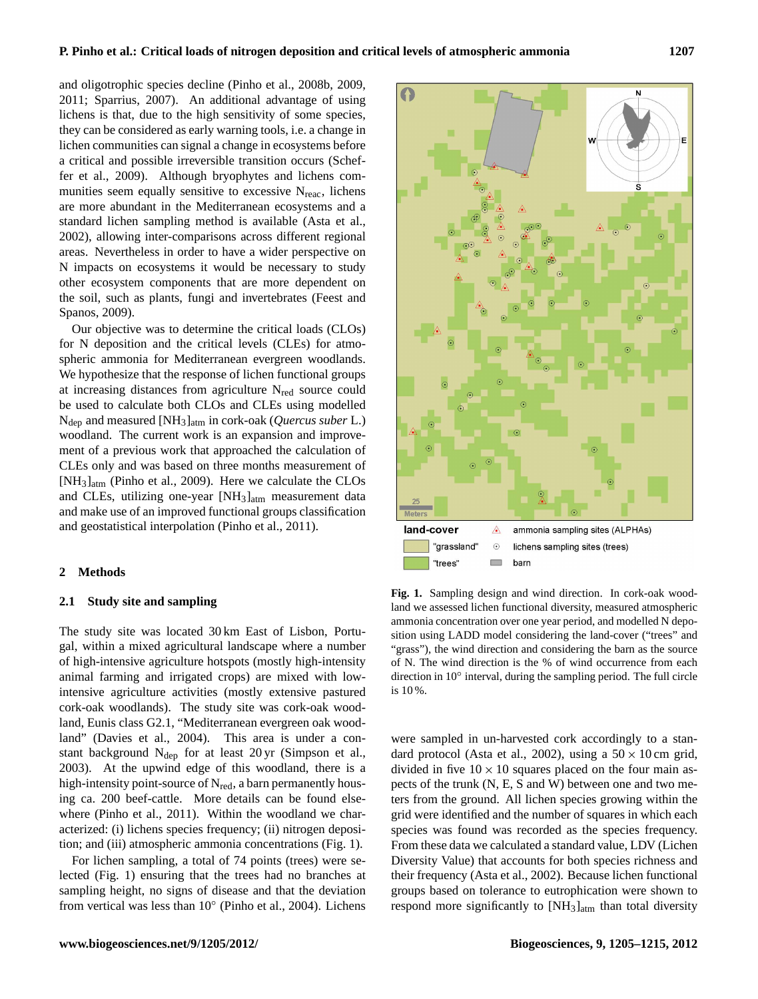and oligotrophic species decline (Pinho et al., 2008b, 2009, 2011; Sparrius, 2007). An additional advantage of using lichens is that, due to the high sensitivity of some species, they can be considered as early warning tools, i.e. a change in lichen communities can signal a change in ecosystems before a critical and possible irreversible transition occurs (Scheffer et al., 2009). Although bryophytes and lichens communities seem equally sensitive to excessive  $N_{\text{reac}}$ , lichens are more abundant in the Mediterranean ecosystems and a standard lichen sampling method is available (Asta et al., 2002), allowing inter-comparisons across different regional areas. Nevertheless in order to have a wider perspective on N impacts on ecosystems it would be necessary to study other ecosystem components that are more dependent on the soil, such as plants, fungi and invertebrates (Feest and Spanos, 2009).

Our objective was to determine the critical loads (CLOs) for N deposition and the critical levels (CLEs) for atmospheric ammonia for Mediterranean evergreen woodlands. We hypothesize that the response of lichen functional groups at increasing distances from agriculture N<sub>red</sub> source could be used to calculate both CLOs and CLEs using modelled Ndep and measured [NH3]atm in cork-oak (*Quercus suber* L.) woodland. The current work is an expansion and improvement of a previous work that approached the calculation of CLEs only and was based on three months measurement of [NH3]atm (Pinho et al., 2009). Here we calculate the CLOs and CLEs, utilizing one-year  $[NH_3]_{atm}$  measurement data and make use of an improved functional groups classification and geostatistical interpolation (Pinho et al., 2011).

#### **2 Methods**

#### **2.1 Study site and sampling**

The study site was located 30 km East of Lisbon, Portugal, within a mixed agricultural landscape where a number of high-intensive agriculture hotspots (mostly high-intensity animal farming and irrigated crops) are mixed with lowintensive agriculture activities (mostly extensive pastured cork-oak woodlands). The study site was cork-oak woodland, Eunis class G2.1, "Mediterranean evergreen oak woodland" (Davies et al., 2004). This area is under a constant background Ndep for at least 20 yr (Simpson et al., 2003). At the upwind edge of this woodland, there is a high-intensity point-source of N<sub>red</sub>, a barn permanently housing ca. 200 beef-cattle. More details can be found elsewhere (Pinho et al., 2011). Within the woodland we characterized: (i) lichens species frequency; (ii) nitrogen deposition; and (iii) atmospheric ammonia concentrations (Fig. 1).

For lichen sampling, a total of 74 points (trees) were selected (Fig. 1) ensuring that the trees had no branches at sampling height, no signs of disease and that the deviation from vertical was less than 10° (Pinho et al., 2004). Lichens



**Fig. 1.** Sampling design and wind direction. In cork-oak woodland we assessed lichen functional diversity, measured atmospheric ammonia concentration over one year period, and modelled N deposition using LADD model considering the land-cover ("trees" and "grass"), the wind direction and considering the barn as the source of N. The wind direction is the % of wind occurrence from each direction in 10° interval, during the sampling period. The full circle is 10 %.

were sampled in un-harvested cork accordingly to a standard protocol (Asta et al., 2002), using a  $50 \times 10$  cm grid, divided in five  $10 \times 10$  squares placed on the four main aspects of the trunk (N, E, S and W) between one and two meters from the ground. All lichen species growing within the grid were identified and the number of squares in which each species was found was recorded as the species frequency. From these data we calculated a standard value, LDV (Lichen Diversity Value) that accounts for both species richness and their frequency (Asta et al., 2002). Because lichen functional groups based on tolerance to eutrophication were shown to respond more significantly to [NH<sub>3</sub>]<sub>atm</sub> than total diversity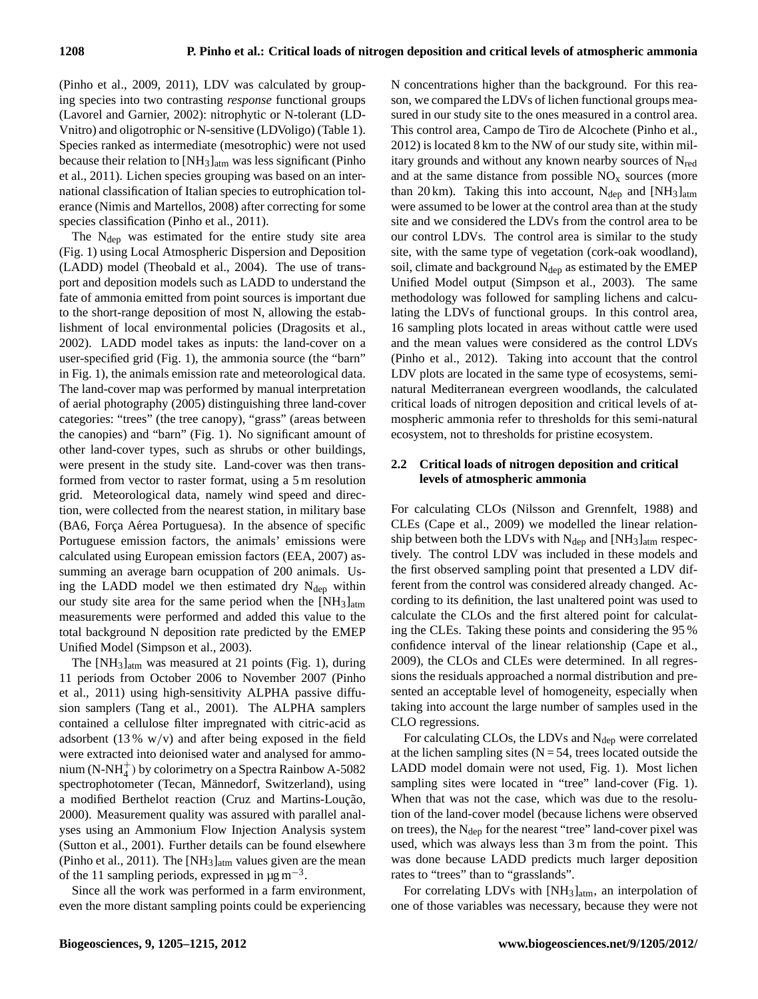(Pinho et al., 2009, 2011), LDV was calculated by grouping species into two contrasting *response* functional groups (Lavorel and Garnier, 2002): nitrophytic or N-tolerant (LD-Vnitro) and oligotrophic or N-sensitive (LDVoligo) (Table 1). Species ranked as intermediate (mesotrophic) were not used because their relation to [NH3]atm was less significant (Pinho et al., 2011). Lichen species grouping was based on an international classification of Italian species to eutrophication tolerance (Nimis and Martellos, 2008) after correcting for some species classification (Pinho et al., 2011).

The  $N_{dep}$  was estimated for the entire study site area (Fig. 1) using Local Atmospheric Dispersion and Deposition (LADD) model (Theobald et al., 2004). The use of transport and deposition models such as LADD to understand the fate of ammonia emitted from point sources is important due to the short-range deposition of most N, allowing the establishment of local environmental policies (Dragosits et al., 2002). LADD model takes as inputs: the land-cover on a user-specified grid (Fig. 1), the ammonia source (the "barn" in Fig. 1), the animals emission rate and meteorological data. The land-cover map was performed by manual interpretation of aerial photography (2005) distinguishing three land-cover categories: "trees" (the tree canopy), "grass" (areas between the canopies) and "barn" (Fig. 1). No significant amount of other land-cover types, such as shrubs or other buildings, were present in the study site. Land-cover was then transformed from vector to raster format, using a 5 m resolution grid. Meteorological data, namely wind speed and direction, were collected from the nearest station, in military base (BA6, Força Aérea Portuguesa). In the absence of specific Portuguese emission factors, the animals' emissions were calculated using European emission factors (EEA, 2007) assumming an average barn ocuppation of 200 animals. Using the LADD model we then estimated dry  $N_{dep}$  within our study site area for the same period when the  $[NH_3]_{atm}$ measurements were performed and added this value to the total background N deposition rate predicted by the EMEP Unified Model (Simpson et al., 2003).

The  $[NH_3]_{atm}$  was measured at 21 points (Fig. 1), during 11 periods from October 2006 to November 2007 (Pinho et al., 2011) using high-sensitivity ALPHA passive diffusion samplers (Tang et al., 2001). The ALPHA samplers contained a cellulose filter impregnated with citric-acid as adsorbent  $(13\% \t w/v)$  and after being exposed in the field were extracted into deionised water and analysed for ammonium (N-NH $_4^+$ ) by colorimetry on a Spectra Rainbow A-5082 spectrophotometer (Tecan, Männedorf, Switzerland), using a modified Berthelot reaction (Cruz and Martins-Loução, 2000). Measurement quality was assured with parallel analyses using an Ammonium Flow Injection Analysis system (Sutton et al., 2001). Further details can be found elsewhere (Pinho et al., 2011). The  $[NH_3]_{atm}$  values given are the mean of the 11 sampling periods, expressed in  $\mu$ g m<sup>-3</sup>.

Since all the work was performed in a farm environment, even the more distant sampling points could be experiencing N concentrations higher than the background. For this reason, we compared the LDVs of lichen functional groups measured in our study site to the ones measured in a control area. This control area, Campo de Tiro de Alcochete (Pinho et al., 2012) is located 8 km to the NW of our study site, within military grounds and without any known nearby sources of  $N_{\text{red}}$ and at the same distance from possible  $NO<sub>x</sub>$  sources (more than 20 km). Taking this into account,  $N_{dep}$  and  $[NH_3]_{atm}$ were assumed to be lower at the control area than at the study site and we considered the LDVs from the control area to be our control LDVs. The control area is similar to the study site, with the same type of vegetation (cork-oak woodland), soil, climate and background  $N_{dep}$  as estimated by the EMEP Unified Model output (Simpson et al., 2003). The same methodology was followed for sampling lichens and calculating the LDVs of functional groups. In this control area, 16 sampling plots located in areas without cattle were used and the mean values were considered as the control LDVs (Pinho et al., 2012). Taking into account that the control LDV plots are located in the same type of ecosystems, seminatural Mediterranean evergreen woodlands, the calculated critical loads of nitrogen deposition and critical levels of atmospheric ammonia refer to thresholds for this semi-natural ecosystem, not to thresholds for pristine ecosystem.

# **2.2 Critical loads of nitrogen deposition and critical levels of atmospheric ammonia**

For calculating CLOs (Nilsson and Grennfelt, 1988) and CLEs (Cape et al., 2009) we modelled the linear relationship between both the LDVs with  $N_{dep}$  and  $[NH_3]_{atm}$  respectively. The control LDV was included in these models and the first observed sampling point that presented a LDV different from the control was considered already changed. According to its definition, the last unaltered point was used to calculate the CLOs and the first altered point for calculating the CLEs. Taking these points and considering the 95 % confidence interval of the linear relationship (Cape et al., 2009), the CLOs and CLEs were determined. In all regressions the residuals approached a normal distribution and presented an acceptable level of homogeneity, especially when taking into account the large number of samples used in the CLO regressions.

For calculating CLOs, the LDVs and  $N_{dep}$  were correlated at the lichen sampling sites  $(N = 54$ , trees located outside the LADD model domain were not used, Fig. 1). Most lichen sampling sites were located in "tree" land-cover (Fig. 1). When that was not the case, which was due to the resolution of the land-cover model (because lichens were observed on trees), the  $N_{dep}$  for the nearest "tree" land-cover pixel was used, which was always less than 3 m from the point. This was done because LADD predicts much larger deposition rates to "trees" than to "grasslands".

For correlating LDVs with [NH<sub>3</sub>]<sub>atm</sub>, an interpolation of one of those variables was necessary, because they were not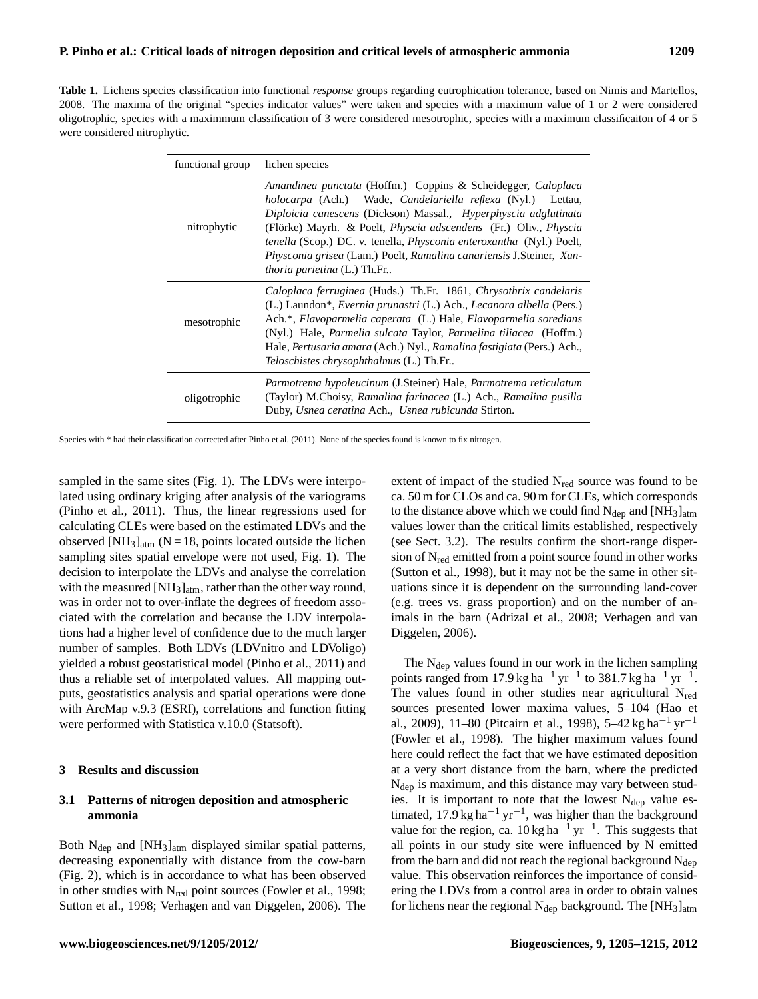**Table 1.** Lichens species classification into functional *response* groups regarding eutrophication tolerance, based on Nimis and Martellos, 2008. The maxima of the original "species indicator values" were taken and species with a maximum value of 1 or 2 were considered oligotrophic, species with a maximmum classification of 3 were considered mesotrophic, species with a maximum classificaiton of 4 or 5 were considered nitrophytic.

| functional group | lichen species                                                                                                                                                                                                                                                                                                                                                                                                                                                                      |
|------------------|-------------------------------------------------------------------------------------------------------------------------------------------------------------------------------------------------------------------------------------------------------------------------------------------------------------------------------------------------------------------------------------------------------------------------------------------------------------------------------------|
| nitrophytic      | Amandinea punctata (Hoffm.) Coppins & Scheidegger, Caloplaca<br><i>holocarpa</i> (Ach.) Wade, <i>Candelariella reflexa</i> (Nyl.) Lettau,<br>Diploicia canescens (Dickson) Massal., Hyperphyscia adglutinata<br>(Flörke) Mayrh. & Poelt, <i>Physcia adscendens</i> (Fr.) Oliv., <i>Physcia</i><br>tenella (Scop.) DC. v. tenella, <i>Physconia enteroxantha</i> (Nyl.) Poelt,<br>Physconia grisea (Lam.) Poelt, Ramalina canariensis J.Steiner, Xan-<br>thoria parietina (L.) Th.Fr |
| mesotrophic      | Caloplaca ferruginea (Huds.) Th.Fr. 1861, Chrysothrix candelaris<br>(L.) Laundon*, <i>Evernia prunastri</i> (L.) Ach., <i>Lecanora albella</i> (Pers.)<br>Ach.*, Flavoparmelia caperata (L.) Hale, Flavoparmelia soredians<br>(Nyl.) Hale, <i>Parmelia sulcata</i> Taylor, <i>Parmelina tiliacea</i> (Hoffm.)<br>Hale, <i>Pertusaria amara</i> (Ach.) Nyl., <i>Ramalina fastigiata</i> (Pers.) Ach.,<br><i>Teloschistes chrysophthalmus</i> (L.) Th.Fr                              |
| oligotrophic     | Parmotrema hypoleucinum (J.Steiner) Hale, Parmotrema reticulatum<br>(Taylor) M.Choisy, Ramalina farinacea (L.) Ach., Ramalina pusilla<br>Duby, Usnea ceratina Ach., Usnea rubicunda Stirton.                                                                                                                                                                                                                                                                                        |

Species with \* had their classification corrected after Pinho et al. (2011). None of the species found is known to fix nitrogen.

sampled in the same sites (Fig. 1). The LDVs were interpolated using ordinary kriging after analysis of the variograms (Pinho et al., 2011). Thus, the linear regressions used for calculating CLEs were based on the estimated LDVs and the observed [NH<sub>3</sub>]<sub>atm</sub> (N = 18, points located outside the lichen sampling sites spatial envelope were not used, Fig. 1). The decision to interpolate the LDVs and analyse the correlation with the measured  $[NH_3]_{atm}$ , rather than the other way round, was in order not to over-inflate the degrees of freedom associated with the correlation and because the LDV interpolations had a higher level of confidence due to the much larger number of samples. Both LDVs (LDVnitro and LDVoligo) yielded a robust geostatistical model (Pinho et al., 2011) and thus a reliable set of interpolated values. All mapping outputs, geostatistics analysis and spatial operations were done with ArcMap v.9.3 (ESRI), correlations and function fitting were performed with Statistica v.10.0 (Statsoft).

#### **3 Results and discussion**

## **3.1 Patterns of nitrogen deposition and atmospheric ammonia**

Both  $N_{dep}$  and  $[NH_3]_{atm}$  displayed similar spatial patterns, decreasing exponentially with distance from the cow-barn (Fig. 2), which is in accordance to what has been observed in other studies with  $N_{\text{red}}$  point sources (Fowler et al., 1998; Sutton et al., 1998; Verhagen and van Diggelen, 2006). The extent of impact of the studied  $N_{\text{red}}$  source was found to be ca. 50 m for CLOs and ca. 90 m for CLEs, which corresponds to the distance above which we could find  $N_{\text{dep}}$  and  $[NH_3]_{\text{atm}}$ values lower than the critical limits established, respectively (see Sect. 3.2). The results confirm the short-range dispersion of  $N_{\text{red}}$  emitted from a point source found in other works (Sutton et al., 1998), but it may not be the same in other situations since it is dependent on the surrounding land-cover (e.g. trees vs. grass proportion) and on the number of animals in the barn (Adrizal et al., 2008; Verhagen and van Diggelen, 2006).

The  $N_{dep}$  values found in our work in the lichen sampling points ranged from 17.9 kg ha<sup>-1</sup> yr<sup>-1</sup> to 381.7 kg ha<sup>-1</sup> yr<sup>-1</sup>. The values found in other studies near agricultural  $N_{\text{red}}$ sources presented lower maxima values, 5–104 (Hao et al., 2009), 11–80 (Pitcairn et al., 1998), 5–42 kg ha<sup>-1</sup> yr<sup>-1</sup> (Fowler et al., 1998). The higher maximum values found here could reflect the fact that we have estimated deposition at a very short distance from the barn, where the predicted N<sub>dep</sub> is maximum, and this distance may vary between studies. It is important to note that the lowest  $N_{dep}$  value estimated, 17.9 kg ha<sup>-1</sup> yr<sup>-1</sup>, was higher than the background value for the region, ca.  $10 \text{ kg ha}^{-1} \text{ yr}^{-1}$ . This suggests that all points in our study site were influenced by N emitted from the barn and did not reach the regional background  $N_{dep}$ value. This observation reinforces the importance of considering the LDVs from a control area in order to obtain values for lichens near the regional  $N_{dep}$  background. The [NH<sub>3</sub>]<sub>atm</sub>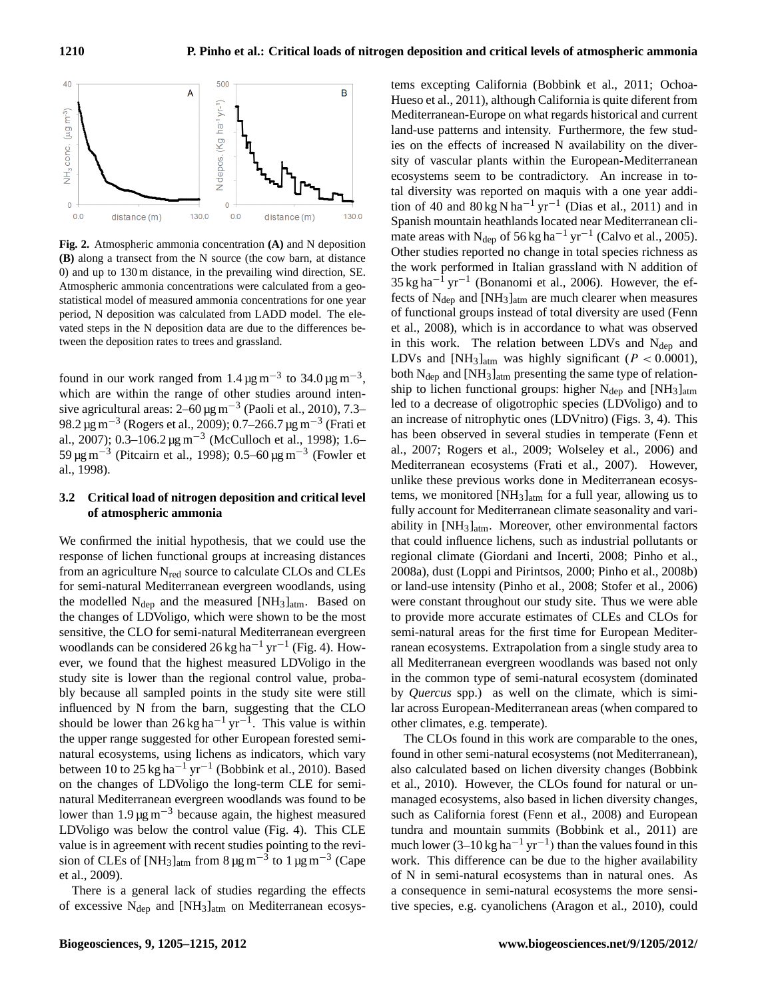

**Fig. 2.** Atmospheric ammonia concentration **(A)** and N deposition **(B)** along a transect from the N source (the cow barn, at distance 0) and up to 130 m distance, in the prevailing wind direction, SE. Atmospheric ammonia concentrations were calculated from a geostatistical model of measured ammonia concentrations for one year period, N deposition was calculated from LADD model. The elevated steps in the N deposition data are due to the differences between the deposition rates to trees and grassland.

found in our work ranged from  $1.4 \,\mathrm{\mu g\,m}^{-3}$  to  $34.0 \,\mathrm{\mu g\,m}^{-3}$ , which are within the range of other studies around intensive agricultural areas:  $2-60 \,\mathrm{\mu g\,m^{-3}}$  (Paoli et al., 2010), 7.3– 98.2 µg m−<sup>3</sup> (Rogers et al., 2009); 0.7–266.7 µg m−<sup>3</sup> (Frati et al., 2007); 0.3–106.2 µg m−<sup>3</sup> (McCulloch et al., 1998); 1.6– 59 μg m<sup>-3</sup> (Pitcairn et al., 1998); 0.5–60 μg m<sup>-3</sup> (Fowler et al., 1998).

## **3.2 Critical load of nitrogen deposition and critical level of atmospheric ammonia**

We confirmed the initial hypothesis, that we could use the response of lichen functional groups at increasing distances from an agriculture  $N_{\text{red}}$  source to calculate CLOs and CLEs for semi-natural Mediterranean evergreen woodlands, using the modelled  $N_{\text{dep}}$  and the measured [NH<sub>3</sub>]<sub>atm</sub>. Based on the changes of LDVoligo, which were shown to be the most sensitive, the CLO for semi-natural Mediterranean evergreen woodlands can be considered 26 kg ha<sup>-1</sup> yr<sup>-1</sup> (Fig. 4). However, we found that the highest measured LDVoligo in the study site is lower than the regional control value, probably because all sampled points in the study site were still influenced by N from the barn, suggesting that the CLO should be lower than  $26 \text{ kg ha}^{-1} \text{ yr}^{-1}$ . This value is within the upper range suggested for other European forested seminatural ecosystems, using lichens as indicators, which vary between 10 to 25 kg ha<sup>-1</sup> yr<sup>-1</sup> (Bobbink et al., 2010). Based on the changes of LDVoligo the long-term CLE for seminatural Mediterranean evergreen woodlands was found to be lower than 1.9  $\mu$ g m<sup>-3</sup> because again, the highest measured LDVoligo was below the control value (Fig. 4). This CLE value is in agreement with recent studies pointing to the revision of CLEs of [NH<sub>3</sub>]<sub>atm</sub> from 8 µg m<sup>-3</sup> to 1 µg m<sup>-3</sup> (Cape et al., 2009).

There is a general lack of studies regarding the effects of excessive  $N_{dep}$  and  $[NH_3]_{atm}$  on Mediterranean ecosystems excepting California (Bobbink et al., 2011; Ochoa-Hueso et al., 2011), although California is quite diferent from Mediterranean-Europe on what regards historical and current land-use patterns and intensity. Furthermore, the few studies on the effects of increased N availability on the diversity of vascular plants within the European-Mediterranean ecosystems seem to be contradictory. An increase in total diversity was reported on maquis with a one year addition of 40 and  $80 \text{ kg N} \text{ ha}^{-1} \text{ yr}^{-1}$  (Dias et al., 2011) and in Spanish mountain heathlands located near Mediterranean climate areas with N<sub>dep</sub> of 56 kg ha<sup>-1</sup> yr<sup>-1</sup> (Calvo et al., 2005). Other studies reported no change in total species richness as the work performed in Italian grassland with N addition of  $35 \text{ kg ha}^{-1} \text{ yr}^{-1}$  (Bonanomi et al., 2006). However, the effects of  $N_{dep}$  and  $[NH_3]_{atm}$  are much clearer when measures of functional groups instead of total diversity are used (Fenn et al., 2008), which is in accordance to what was observed in this work. The relation between LDVs and  $N_{dep}$  and LDVs and [NH<sub>3</sub>]<sub>atm</sub> was highly significant ( $P < 0.0001$ ), both  $N_{dep}$  and  $[NH_3]_{atm}$  presenting the same type of relationship to lichen functional groups: higher  $N_{dep}$  and  $[NH_3]_{atm}$ led to a decrease of oligotrophic species (LDVoligo) and to an increase of nitrophytic ones (LDVnitro) (Figs. 3, 4). This has been observed in several studies in temperate (Fenn et al., 2007; Rogers et al., 2009; Wolseley et al., 2006) and Mediterranean ecosystems (Frati et al., 2007). However, unlike these previous works done in Mediterranean ecosystems, we monitored  $[NH_3]_{atm}$  for a full year, allowing us to fully account for Mediterranean climate seasonality and variability in [NH3]atm. Moreover, other environmental factors that could influence lichens, such as industrial pollutants or regional climate (Giordani and Incerti, 2008; Pinho et al., 2008a), dust (Loppi and Pirintsos, 2000; Pinho et al., 2008b) or land-use intensity (Pinho et al., 2008; Stofer et al., 2006) were constant throughout our study site. Thus we were able to provide more accurate estimates of CLEs and CLOs for semi-natural areas for the first time for European Mediterranean ecosystems. Extrapolation from a single study area to all Mediterranean evergreen woodlands was based not only in the common type of semi-natural ecosystem (dominated by *Quercus* spp.) as well on the climate, which is similar across European-Mediterranean areas (when compared to other climates, e.g. temperate).

The CLOs found in this work are comparable to the ones, found in other semi-natural ecosystems (not Mediterranean), also calculated based on lichen diversity changes (Bobbink et al., 2010). However, the CLOs found for natural or unmanaged ecosystems, also based in lichen diversity changes, such as California forest (Fenn et al., 2008) and European tundra and mountain summits (Bobbink et al., 2011) are much lower (3–10 kg ha<sup>-1</sup> yr<sup>-1</sup>) than the values found in this work. This difference can be due to the higher availability of N in semi-natural ecosystems than in natural ones. As a consequence in semi-natural ecosystems the more sensitive species, e.g. cyanolichens (Aragon et al., 2010), could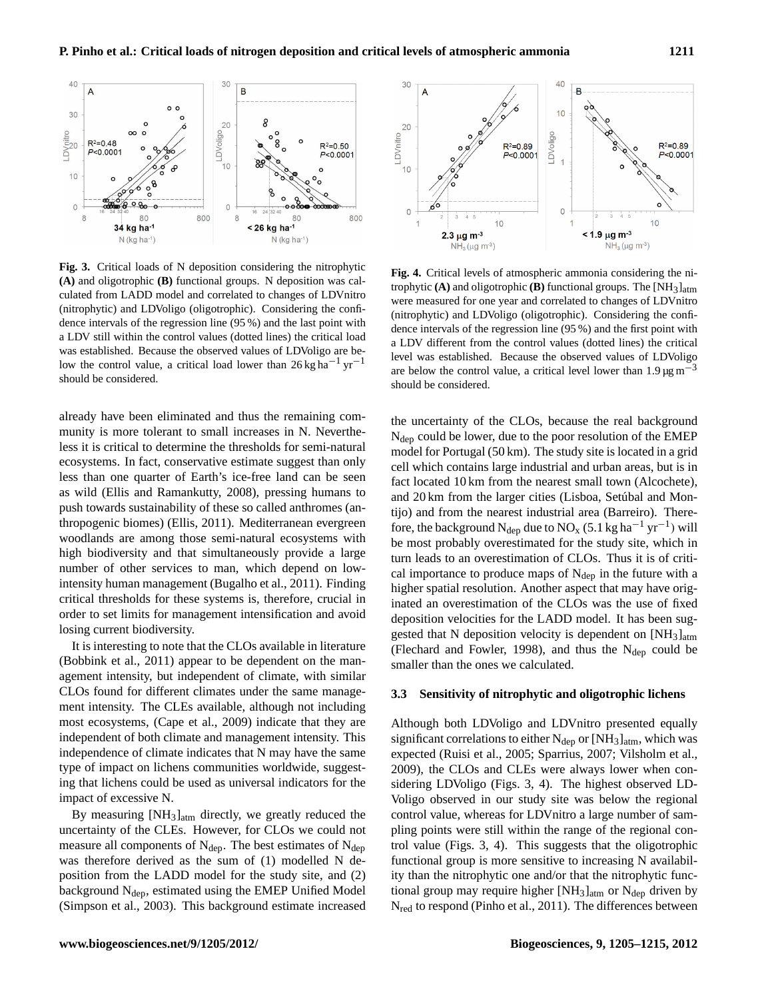

**Fig. 3.** Critical loads of N deposition considering the nitrophytic **(A)** and oligotrophic **(B)** functional groups. N deposition was calculated from LADD model and correlated to changes of LDVnitro (nitrophytic) and LDVoligo (oligotrophic). Considering the confidence intervals of the regression line (95 %) and the last point with a LDV still within the control values (dotted lines) the critical load was established. Because the observed values of LDVoligo are below the control value, a critical load lower than 26 kg ha−<sup>1</sup> yr−<sup>1</sup> should be considered.

already have been eliminated and thus the remaining community is more tolerant to small increases in N. Nevertheless it is critical to determine the thresholds for semi-natural ecosystems. In fact, conservative estimate suggest than only less than one quarter of Earth's ice-free land can be seen as wild (Ellis and Ramankutty, 2008), pressing humans to push towards sustainability of these so called anthromes (anthropogenic biomes) (Ellis, 2011). Mediterranean evergreen woodlands are among those semi-natural ecosystems with high biodiversity and that simultaneously provide a large number of other services to man, which depend on lowintensity human management (Bugalho et al., 2011). Finding critical thresholds for these systems is, therefore, crucial in order to set limits for management intensification and avoid losing current biodiversity.

It is interesting to note that the CLOs available in literature (Bobbink et al., 2011) appear to be dependent on the management intensity, but independent of climate, with similar CLOs found for different climates under the same management intensity. The CLEs available, although not including most ecosystems, (Cape et al., 2009) indicate that they are independent of both climate and management intensity. This independence of climate indicates that N may have the same type of impact on lichens communities worldwide, suggesting that lichens could be used as universal indicators for the impact of excessive N.

By measuring [NH3]atm directly, we greatly reduced the uncertainty of the CLEs. However, for CLOs we could not measure all components of  $N_{dep}$ . The best estimates of  $N_{dep}$ was therefore derived as the sum of (1) modelled N deposition from the LADD model for the study site, and (2) background  $N_{\text{dep}}$ , estimated using the EMEP Unified Model (Simpson et al., 2003). This background estimate increased



**Fig. 4.** Critical levels of atmospheric ammonia considering the nitrophytic **(A)** and oligotrophic **(B)** functional groups. The [NH3]atm were measured for one year and correlated to changes of LDVnitro (nitrophytic) and LDVoligo (oligotrophic). Considering the confidence intervals of the regression line (95 %) and the first point with a LDV different from the control values (dotted lines) the critical level was established. Because the observed values of LDVoligo are below the control value, a critical level lower than  $1.9 \,\text{\mu g m}^{-3}$ should be considered.

the uncertainty of the CLOs, because the real background Ndep could be lower, due to the poor resolution of the EMEP model for Portugal (50 km). The study site is located in a grid cell which contains large industrial and urban areas, but is in fact located 10 km from the nearest small town (Alcochete), and 20 km from the larger cities (Lisboa, Setúbal and Montijo) and from the nearest industrial area (Barreiro). Therefore, the background N<sub>dep</sub> due to NO<sub>x</sub> (5.1 kg ha<sup>-1</sup> yr<sup>-1</sup>) will be most probably overestimated for the study site, which in turn leads to an overestimation of CLOs. Thus it is of critical importance to produce maps of  $N_{dep}$  in the future with a higher spatial resolution. Another aspect that may have originated an overestimation of the CLOs was the use of fixed deposition velocities for the LADD model. It has been suggested that N deposition velocity is dependent on  $[NH_3]_{atm}$ (Flechard and Fowler, 1998), and thus the  $N_{\text{dep}}$  could be smaller than the ones we calculated.

### **3.3 Sensitivity of nitrophytic and oligotrophic lichens**

Although both LDVoligo and LDVnitro presented equally significant correlations to either  $N_{dep}$  or  $[NH_3]_{atm}$ , which was expected (Ruisi et al., 2005; Sparrius, 2007; Vilsholm et al., 2009), the CLOs and CLEs were always lower when considering LDVoligo (Figs. 3, 4). The highest observed LD-Voligo observed in our study site was below the regional control value, whereas for LDVnitro a large number of sampling points were still within the range of the regional control value (Figs. 3, 4). This suggests that the oligotrophic functional group is more sensitive to increasing N availability than the nitrophytic one and/or that the nitrophytic functional group may require higher  $[NH_3]_{atm}$  or  $N_{dep}$  driven by Nred to respond (Pinho et al., 2011). The differences between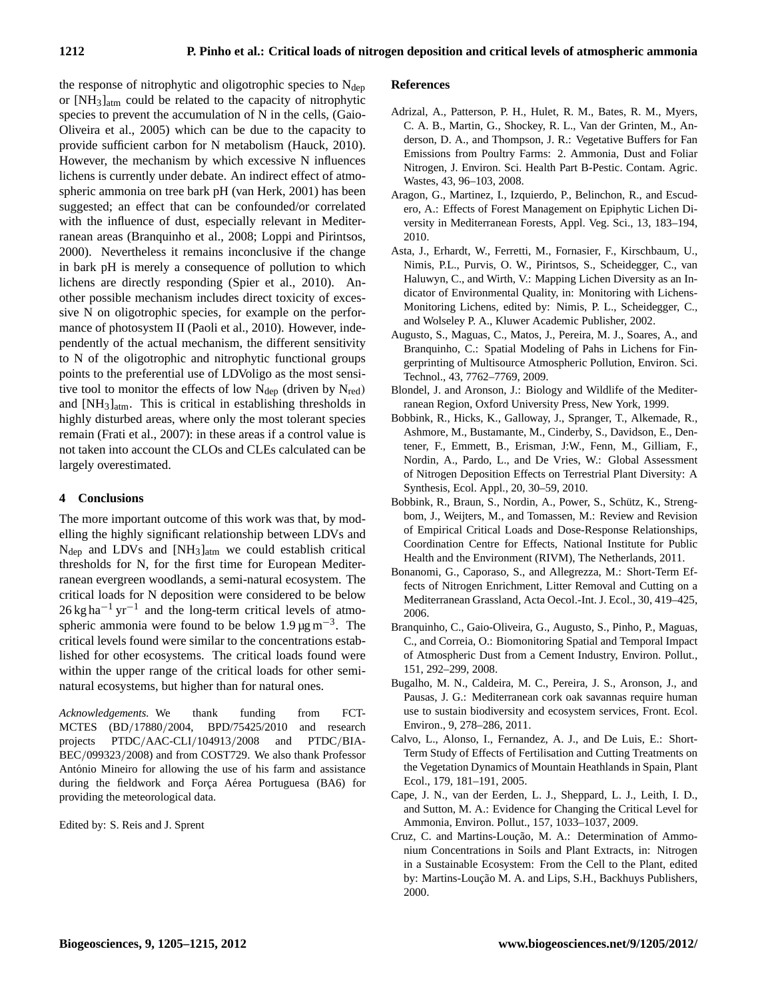the response of nitrophytic and oligotrophic species to  $N_{\text{dep}}$ or [NH3]atm could be related to the capacity of nitrophytic species to prevent the accumulation of N in the cells, (Gaio-Oliveira et al., 2005) which can be due to the capacity to provide sufficient carbon for N metabolism (Hauck, 2010). However, the mechanism by which excessive N influences lichens is currently under debate. An indirect effect of atmospheric ammonia on tree bark pH (van Herk, 2001) has been suggested; an effect that can be confounded/or correlated with the influence of dust, especially relevant in Mediterranean areas (Branquinho et al., 2008; Loppi and Pirintsos, 2000). Nevertheless it remains inconclusive if the change in bark pH is merely a consequence of pollution to which lichens are directly responding (Spier et al., 2010). Another possible mechanism includes direct toxicity of excessive N on oligotrophic species, for example on the performance of photosystem II (Paoli et al., 2010). However, independently of the actual mechanism, the different sensitivity to N of the oligotrophic and nitrophytic functional groups points to the preferential use of LDVoligo as the most sensitive tool to monitor the effects of low  $N_{dep}$  (driven by  $N_{red}$ ) and [NH3]atm. This is critical in establishing thresholds in highly disturbed areas, where only the most tolerant species remain (Frati et al., 2007): in these areas if a control value is not taken into account the CLOs and CLEs calculated can be largely overestimated.

## **4 Conclusions**

The more important outcome of this work was that, by modelling the highly significant relationship between LDVs and  $N_{\text{dep}}$  and LDVs and  $[NH_3]_{\text{atm}}$  we could establish critical thresholds for N, for the first time for European Mediterranean evergreen woodlands, a semi-natural ecosystem. The critical loads for N deposition were considered to be below  $26 \text{ kg ha}^{-1} \text{ yr}^{-1}$  and the long-term critical levels of atmospheric ammonia were found to be below  $1.9 \,\mathrm{\mu g\,m}^{-3}$ . The critical levels found were similar to the concentrations established for other ecosystems. The critical loads found were within the upper range of the critical loads for other seminatural ecosystems, but higher than for natural ones.

*Acknowledgements.* We thank funding from FCT-MCTES (BD/17880/2004, BPD/75425/2010 and research projects PTDC/AAC-CLI/104913/2008 and PTDC/BIA-BEC/099323/2008) and from COST729. We also thank Professor António Mineiro for allowing the use of his farm and assistance during the fieldwork and Força Aérea Portuguesa (BA6) for providing the meteorological data.

Edited by: S. Reis and J. Sprent

#### **References**

- Adrizal, A., Patterson, P. H., Hulet, R. M., Bates, R. M., Myers, C. A. B., Martin, G., Shockey, R. L., Van der Grinten, M., Anderson, D. A., and Thompson, J. R.: Vegetative Buffers for Fan Emissions from Poultry Farms: 2. Ammonia, Dust and Foliar Nitrogen, J. Environ. Sci. Health Part B-Pestic. Contam. Agric. Wastes, 43, 96–103, 2008.
- Aragon, G., Martinez, I., Izquierdo, P., Belinchon, R., and Escudero, A.: Effects of Forest Management on Epiphytic Lichen Diversity in Mediterranean Forests, Appl. Veg. Sci., 13, 183–194, 2010.
- Asta, J., Erhardt, W., Ferretti, M., Fornasier, F., Kirschbaum, U., Nimis, P.L., Purvis, O. W., Pirintsos, S., Scheidegger, C., van Haluwyn, C., and Wirth, V.: Mapping Lichen Diversity as an Indicator of Environmental Quality, in: Monitoring with Lichens-Monitoring Lichens, edited by: Nimis, P. L., Scheidegger, C., and Wolseley P. A., Kluwer Academic Publisher, 2002.
- Augusto, S., Maguas, C., Matos, J., Pereira, M. J., Soares, A., and Branquinho, C.: Spatial Modeling of Pahs in Lichens for Fingerprinting of Multisource Atmospheric Pollution, Environ. Sci. Technol., 43, 7762–7769, 2009.
- Blondel, J. and Aronson, J.: Biology and Wildlife of the Mediterranean Region, Oxford University Press, New York, 1999.
- Bobbink, R., Hicks, K., Galloway, J., Spranger, T., Alkemade, R., Ashmore, M., Bustamante, M., Cinderby, S., Davidson, E., Dentener, F., Emmett, B., Erisman, J:W., Fenn, M., Gilliam, F., Nordin, A., Pardo, L., and De Vries, W.: Global Assessment of Nitrogen Deposition Effects on Terrestrial Plant Diversity: A Synthesis, Ecol. Appl., 20, 30–59, 2010.
- Bobbink, R., Braun, S., Nordin, A., Power, S., Schütz, K., Strengbom, J., Weijters, M., and Tomassen, M.: Review and Revision of Empirical Critical Loads and Dose-Response Relationships, Coordination Centre for Effects, National Institute for Public Health and the Environment (RIVM), The Netherlands, 2011.
- Bonanomi, G., Caporaso, S., and Allegrezza, M.: Short-Term Effects of Nitrogen Enrichment, Litter Removal and Cutting on a Mediterranean Grassland, Acta Oecol.-Int. J. Ecol., 30, 419–425, 2006.
- Branquinho, C., Gaio-Oliveira, G., Augusto, S., Pinho, P., Maguas, C., and Correia, O.: Biomonitoring Spatial and Temporal Impact of Atmospheric Dust from a Cement Industry, Environ. Pollut., 151, 292–299, 2008.
- Bugalho, M. N., Caldeira, M. C., Pereira, J. S., Aronson, J., and Pausas, J. G.: Mediterranean cork oak savannas require human use to sustain biodiversity and ecosystem services, Front. Ecol. Environ., 9, 278–286, 2011.
- Calvo, L., Alonso, I., Fernandez, A. J., and De Luis, E.: Short-Term Study of Effects of Fertilisation and Cutting Treatments on the Vegetation Dynamics of Mountain Heathlands in Spain, Plant Ecol., 179, 181–191, 2005.
- Cape, J. N., van der Eerden, L. J., Sheppard, L. J., Leith, I. D., and Sutton, M. A.: Evidence for Changing the Critical Level for Ammonia, Environ. Pollut., 157, 1033–1037, 2009.
- Cruz, C. and Martins-Loução, M. A.: Determination of Ammonium Concentrations in Soils and Plant Extracts, in: Nitrogen in a Sustainable Ecosystem: From the Cell to the Plant, edited by: Martins-Loução M. A. and Lips, S.H., Backhuys Publishers, 2000.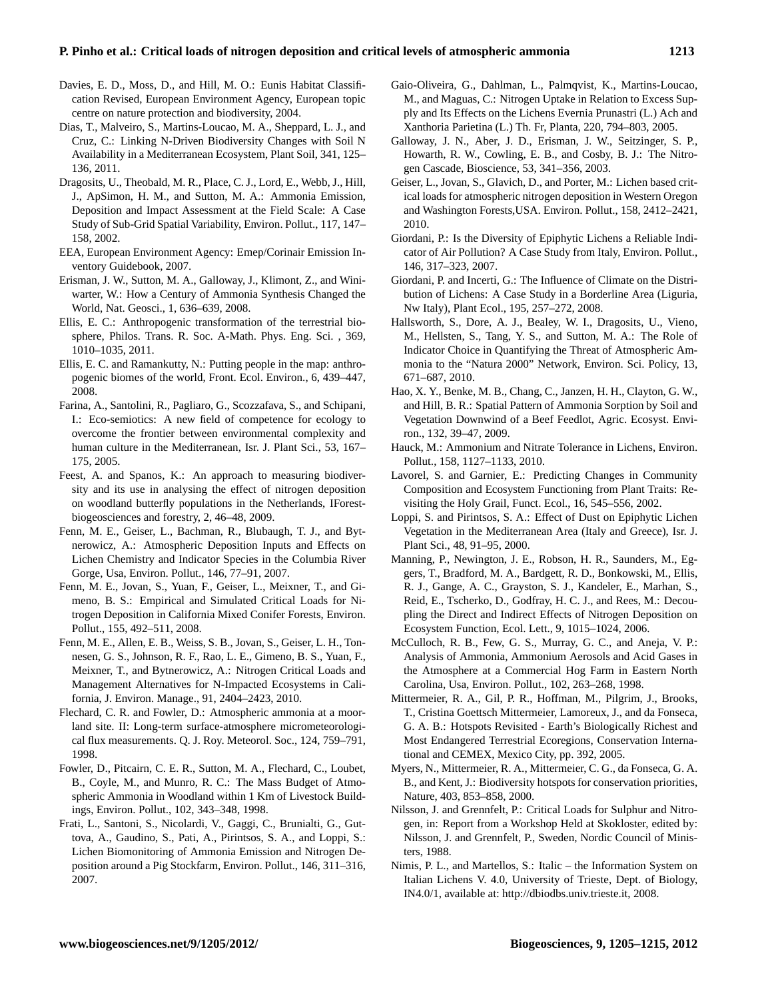- Davies, E. D., Moss, D., and Hill, M. O.: Eunis Habitat Classification Revised, European Environment Agency, European topic centre on nature protection and biodiversity, 2004.
- Dias, T., Malveiro, S., Martins-Loucao, M. A., Sheppard, L. J., and Cruz, C.: Linking N-Driven Biodiversity Changes with Soil N Availability in a Mediterranean Ecosystem, Plant Soil, 341, 125– 136, 2011.
- Dragosits, U., Theobald, M. R., Place, C. J., Lord, E., Webb, J., Hill, J., ApSimon, H. M., and Sutton, M. A.: Ammonia Emission, Deposition and Impact Assessment at the Field Scale: A Case Study of Sub-Grid Spatial Variability, Environ. Pollut., 117, 147– 158, 2002.
- EEA, European Environment Agency: Emep/Corinair Emission Inventory Guidebook, 2007.
- Erisman, J. W., Sutton, M. A., Galloway, J., Klimont, Z., and Winiwarter, W.: How a Century of Ammonia Synthesis Changed the World, Nat. Geosci., 1, 636–639, 2008.
- Ellis, E. C.: Anthropogenic transformation of the terrestrial biosphere, Philos. Trans. R. Soc. A-Math. Phys. Eng. Sci. , 369, 1010–1035, 2011.
- Ellis, E. C. and Ramankutty, N.: Putting people in the map: anthropogenic biomes of the world, Front. Ecol. Environ., 6, 439–447, 2008.
- Farina, A., Santolini, R., Pagliaro, G., Scozzafava, S., and Schipani, I.: Eco-semiotics: A new field of competence for ecology to overcome the frontier between environmental complexity and human culture in the Mediterranean, Isr. J. Plant Sci., 53, 167– 175, 2005.
- Feest, A. and Spanos, K.: An approach to measuring biodiversity and its use in analysing the effect of nitrogen deposition on woodland butterfly populations in the Netherlands, IForestbiogeosciences and forestry, 2, 46–48, 2009.
- Fenn, M. E., Geiser, L., Bachman, R., Blubaugh, T. J., and Bytnerowicz, A.: Atmospheric Deposition Inputs and Effects on Lichen Chemistry and Indicator Species in the Columbia River Gorge, Usa, Environ. Pollut., 146, 77–91, 2007.
- Fenn, M. E., Jovan, S., Yuan, F., Geiser, L., Meixner, T., and Gimeno, B. S.: Empirical and Simulated Critical Loads for Nitrogen Deposition in California Mixed Conifer Forests, Environ. Pollut., 155, 492–511, 2008.
- Fenn, M. E., Allen, E. B., Weiss, S. B., Jovan, S., Geiser, L. H., Tonnesen, G. S., Johnson, R. F., Rao, L. E., Gimeno, B. S., Yuan, F., Meixner, T., and Bytnerowicz, A.: Nitrogen Critical Loads and Management Alternatives for N-Impacted Ecosystems in California, J. Environ. Manage., 91, 2404–2423, 2010.
- Flechard, C. R. and Fowler, D.: Atmospheric ammonia at a moorland site. II: Long-term surface-atmosphere micrometeorological flux measurements. Q. J. Roy. Meteorol. Soc., 124, 759–791, 1998.
- Fowler, D., Pitcairn, C. E. R., Sutton, M. A., Flechard, C., Loubet, B., Coyle, M., and Munro, R. C.: The Mass Budget of Atmospheric Ammonia in Woodland within 1 Km of Livestock Buildings, Environ. Pollut., 102, 343–348, 1998.
- Frati, L., Santoni, S., Nicolardi, V., Gaggi, C., Brunialti, G., Guttova, A., Gaudino, S., Pati, A., Pirintsos, S. A., and Loppi, S.: Lichen Biomonitoring of Ammonia Emission and Nitrogen Deposition around a Pig Stockfarm, Environ. Pollut., 146, 311–316, 2007.
- Gaio-Oliveira, G., Dahlman, L., Palmqvist, K., Martins-Loucao, M., and Maguas, C.: Nitrogen Uptake in Relation to Excess Supply and Its Effects on the Lichens Evernia Prunastri (L.) Ach and Xanthoria Parietina (L.) Th. Fr, Planta, 220, 794–803, 2005.
- Galloway, J. N., Aber, J. D., Erisman, J. W., Seitzinger, S. P., Howarth, R. W., Cowling, E. B., and Cosby, B. J.: The Nitrogen Cascade, Bioscience, 53, 341–356, 2003.
- Geiser, L., Jovan, S., Glavich, D., and Porter, M.: Lichen based critical loads for atmospheric nitrogen deposition in Western Oregon and Washington Forests,USA. Environ. Pollut., 158, 2412–2421, 2010.
- Giordani, P.: Is the Diversity of Epiphytic Lichens a Reliable Indicator of Air Pollution? A Case Study from Italy, Environ. Pollut., 146, 317–323, 2007.
- Giordani, P. and Incerti, G.: The Influence of Climate on the Distribution of Lichens: A Case Study in a Borderline Area (Liguria, Nw Italy), Plant Ecol., 195, 257–272, 2008.
- Hallsworth, S., Dore, A. J., Bealey, W. I., Dragosits, U., Vieno, M., Hellsten, S., Tang, Y. S., and Sutton, M. A.: The Role of Indicator Choice in Quantifying the Threat of Atmospheric Ammonia to the "Natura 2000" Network, Environ. Sci. Policy, 13, 671–687, 2010.
- Hao, X. Y., Benke, M. B., Chang, C., Janzen, H. H., Clayton, G. W., and Hill, B. R.: Spatial Pattern of Ammonia Sorption by Soil and Vegetation Downwind of a Beef Feedlot, Agric. Ecosyst. Environ., 132, 39–47, 2009.
- Hauck, M.: Ammonium and Nitrate Tolerance in Lichens, Environ. Pollut., 158, 1127–1133, 2010.
- Lavorel, S. and Garnier, E.: Predicting Changes in Community Composition and Ecosystem Functioning from Plant Traits: Revisiting the Holy Grail, Funct. Ecol., 16, 545–556, 2002.
- Loppi, S. and Pirintsos, S. A.: Effect of Dust on Epiphytic Lichen Vegetation in the Mediterranean Area (Italy and Greece), Isr. J. Plant Sci., 48, 91–95, 2000.
- Manning, P., Newington, J. E., Robson, H. R., Saunders, M., Eggers, T., Bradford, M. A., Bardgett, R. D., Bonkowski, M., Ellis, R. J., Gange, A. C., Grayston, S. J., Kandeler, E., Marhan, S., Reid, E., Tscherko, D., Godfray, H. C. J., and Rees, M.: Decoupling the Direct and Indirect Effects of Nitrogen Deposition on Ecosystem Function, Ecol. Lett., 9, 1015–1024, 2006.
- McCulloch, R. B., Few, G. S., Murray, G. C., and Aneja, V. P.: Analysis of Ammonia, Ammonium Aerosols and Acid Gases in the Atmosphere at a Commercial Hog Farm in Eastern North Carolina, Usa, Environ. Pollut., 102, 263–268, 1998.
- Mittermeier, R. A., Gil, P. R., Hoffman, M., Pilgrim, J., Brooks, T., Cristina Goettsch Mittermeier, Lamoreux, J., and da Fonseca, G. A. B.: Hotspots Revisited - Earth's Biologically Richest and Most Endangered Terrestrial Ecoregions, Conservation International and CEMEX, Mexico City, pp. 392, 2005.
- Myers, N., Mittermeier, R. A., Mittermeier, C. G., da Fonseca, G. A. B., and Kent, J.: Biodiversity hotspots for conservation priorities, Nature, 403, 853–858, 2000.
- Nilsson, J. and Grennfelt, P.: Critical Loads for Sulphur and Nitrogen, in: Report from a Workshop Held at Skokloster, edited by: Nilsson, J. and Grennfelt, P., Sweden, Nordic Council of Ministers, 1988.
- Nimis, P. L., and Martellos, S.: Italic the Information System on Italian Lichens V. 4.0, University of Trieste, Dept. of Biology, IN4.0/1, available at: [http://dbiodbs.univ.trieste.it,](http://dbiodbs.univ.trieste.it) 2008.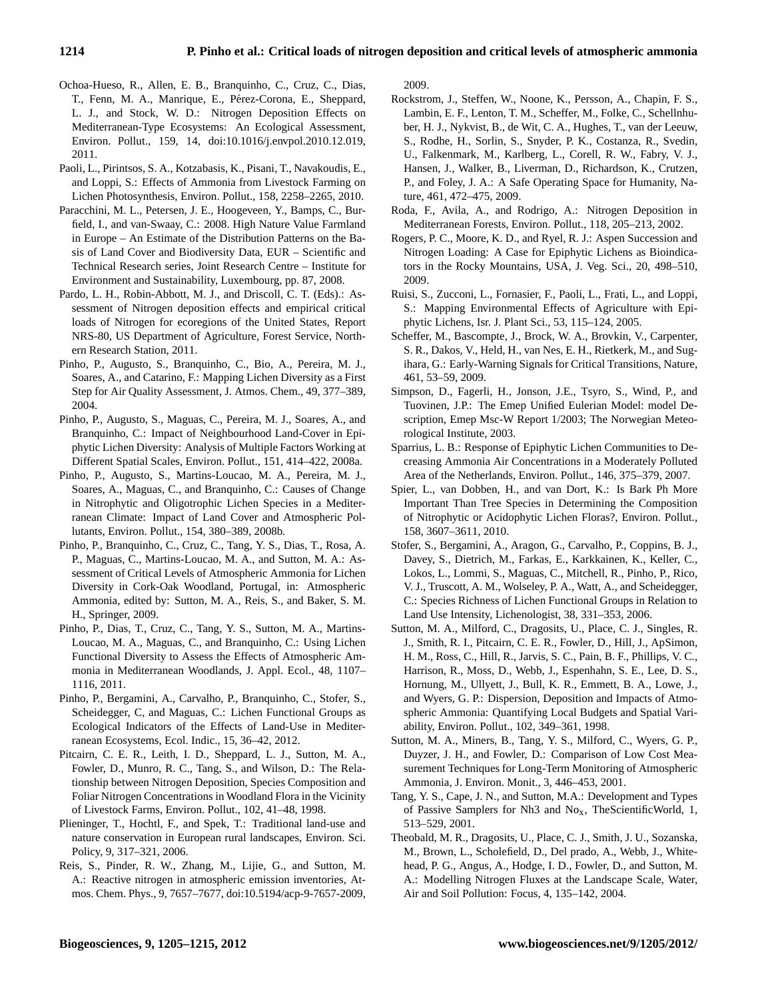- Ochoa-Hueso, R., Allen, E. B., Branquinho, C., Cruz, C., Dias, T., Fenn, M. A., Manrique, E., Pérez-Corona, E., Sheppard, L. J., and Stock, W. D.: Nitrogen Deposition Effects on Mediterranean-Type Ecosystems: An Ecological Assessment, Environ. Pollut., 159, 14, [doi:10.1016/j.envpol.2010.12.019,](http://dx.doi.org/10.1016/j.envpol.2010.12.019) 2011.
- Paoli, L., Pirintsos, S. A., Kotzabasis, K., Pisani, T., Navakoudis, E., and Loppi, S.: Effects of Ammonia from Livestock Farming on Lichen Photosynthesis, Environ. Pollut., 158, 2258–2265, 2010.
- Paracchini, M. L., Petersen, J. E., Hoogeveen, Y., Bamps, C., Burfield, I., and van-Swaay, C.: 2008. High Nature Value Farmland in Europe – An Estimate of the Distribution Patterns on the Basis of Land Cover and Biodiversity Data, EUR – Scientific and Technical Research series, Joint Research Centre – Institute for Environment and Sustainability, Luxembourg, pp. 87, 2008.
- Pardo, L. H., Robin-Abbott, M. J., and Driscoll, C. T. (Eds).: Assessment of Nitrogen deposition effects and empirical critical loads of Nitrogen for ecoregions of the United States, Report NRS-80, US Department of Agriculture, Forest Service, Northern Research Station, 2011.
- Pinho, P., Augusto, S., Branquinho, C., Bio, A., Pereira, M. J., Soares, A., and Catarino, F.: Mapping Lichen Diversity as a First Step for Air Quality Assessment, J. Atmos. Chem., 49, 377–389, 2004.
- Pinho, P., Augusto, S., Maguas, C., Pereira, M. J., Soares, A., and Branquinho, C.: Impact of Neighbourhood Land-Cover in Epiphytic Lichen Diversity: Analysis of Multiple Factors Working at Different Spatial Scales, Environ. Pollut., 151, 414–422, 2008a.
- Pinho, P., Augusto, S., Martins-Loucao, M. A., Pereira, M. J., Soares, A., Maguas, C., and Branquinho, C.: Causes of Change in Nitrophytic and Oligotrophic Lichen Species in a Mediterranean Climate: Impact of Land Cover and Atmospheric Pollutants, Environ. Pollut., 154, 380–389, 2008b.
- Pinho, P., Branquinho, C., Cruz, C., Tang, Y. S., Dias, T., Rosa, A. P., Maguas, C., Martins-Loucao, M. A., and Sutton, M. A.: Assessment of Critical Levels of Atmospheric Ammonia for Lichen Diversity in Cork-Oak Woodland, Portugal, in: Atmospheric Ammonia, edited by: Sutton, M. A., Reis, S., and Baker, S. M. H., Springer, 2009.
- Pinho, P., Dias, T., Cruz, C., Tang, Y. S., Sutton, M. A., Martins-Loucao, M. A., Maguas, C., and Branquinho, C.: Using Lichen Functional Diversity to Assess the Effects of Atmospheric Ammonia in Mediterranean Woodlands, J. Appl. Ecol., 48, 1107– 1116, 2011.
- Pinho, P., Bergamini, A., Carvalho, P., Branquinho, C., Stofer, S., Scheidegger, C, and Maguas, C.: Lichen Functional Groups as Ecological Indicators of the Effects of Land-Use in Mediterranean Ecosystems, Ecol. Indic., 15, 36–42, 2012.
- Pitcairn, C. E. R., Leith, I. D., Sheppard, L. J., Sutton, M. A., Fowler, D., Munro, R. C., Tang, S., and Wilson, D.: The Relationship between Nitrogen Deposition, Species Composition and Foliar Nitrogen Concentrations in Woodland Flora in the Vicinity of Livestock Farms, Environ. Pollut., 102, 41–48, 1998.
- Plieninger, T., Hochtl, F., and Spek, T.: Traditional land-use and nature conservation in European rural landscapes, Environ. Sci. Policy, 9, 317–321, 2006.
- Reis, S., Pinder, R. W., Zhang, M., Lijie, G., and Sutton, M. A.: Reactive nitrogen in atmospheric emission inventories, Atmos. Chem. Phys., 9, 7657–7677, [doi:10.5194/acp-9-7657-2009,](http://dx.doi.org/10.5194/acp-9-7657-2009)

2009.

- Rockstrom, J., Steffen, W., Noone, K., Persson, A., Chapin, F. S., Lambin, E. F., Lenton, T. M., Scheffer, M., Folke, C., Schellnhuber, H. J., Nykvist, B., de Wit, C. A., Hughes, T., van der Leeuw, S., Rodhe, H., Sorlin, S., Snyder, P. K., Costanza, R., Svedin, U., Falkenmark, M., Karlberg, L., Corell, R. W., Fabry, V. J., Hansen, J., Walker, B., Liverman, D., Richardson, K., Crutzen, P., and Foley, J. A.: A Safe Operating Space for Humanity, Nature, 461, 472–475, 2009.
- Roda, F., Avila, A., and Rodrigo, A.: Nitrogen Deposition in Mediterranean Forests, Environ. Pollut., 118, 205–213, 2002.
- Rogers, P. C., Moore, K. D., and Ryel, R. J.: Aspen Succession and Nitrogen Loading: A Case for Epiphytic Lichens as Bioindicators in the Rocky Mountains, USA, J. Veg. Sci., 20, 498–510, 2009.
- Ruisi, S., Zucconi, L., Fornasier, F., Paoli, L., Frati, L., and Loppi, S.: Mapping Environmental Effects of Agriculture with Epiphytic Lichens, Isr. J. Plant Sci., 53, 115–124, 2005.
- Scheffer, M., Bascompte, J., Brock, W. A., Brovkin, V., Carpenter, S. R., Dakos, V., Held, H., van Nes, E. H., Rietkerk, M., and Sugihara, G.: Early-Warning Signals for Critical Transitions, Nature, 461, 53–59, 2009.
- Simpson, D., Fagerli, H., Jonson, J.E., Tsyro, S., Wind, P., and Tuovinen, J.P.: The Emep Unified Eulerian Model: model Description, Emep Msc-W Report 1/2003; The Norwegian Meteorological Institute, 2003.
- Sparrius, L. B.: Response of Epiphytic Lichen Communities to Decreasing Ammonia Air Concentrations in a Moderately Polluted Area of the Netherlands, Environ. Pollut., 146, 375–379, 2007.
- Spier, L., van Dobben, H., and van Dort, K.: Is Bark Ph More Important Than Tree Species in Determining the Composition of Nitrophytic or Acidophytic Lichen Floras?, Environ. Pollut., 158, 3607–3611, 2010.
- Stofer, S., Bergamini, A., Aragon, G., Carvalho, P., Coppins, B. J., Davey, S., Dietrich, M., Farkas, E., Karkkainen, K., Keller, C., Lokos, L., Lommi, S., Maguas, C., Mitchell, R., Pinho, P., Rico, V. J., Truscott, A. M., Wolseley, P. A., Watt, A., and Scheidegger, C.: Species Richness of Lichen Functional Groups in Relation to Land Use Intensity, Lichenologist, 38, 331–353, 2006.
- Sutton, M. A., Milford, C., Dragosits, U., Place, C. J., Singles, R. J., Smith, R. I., Pitcairn, C. E. R., Fowler, D., Hill, J., ApSimon, H. M., Ross, C., Hill, R., Jarvis, S. C., Pain, B. F., Phillips, V. C., Harrison, R., Moss, D., Webb, J., Espenhahn, S. E., Lee, D. S., Hornung, M., Ullyett, J., Bull, K. R., Emmett, B. A., Lowe, J., and Wyers, G. P.: Dispersion, Deposition and Impacts of Atmospheric Ammonia: Quantifying Local Budgets and Spatial Variability, Environ. Pollut., 102, 349–361, 1998.
- Sutton, M. A., Miners, B., Tang, Y. S., Milford, C., Wyers, G. P., Duyzer, J. H., and Fowler, D.: Comparison of Low Cost Measurement Techniques for Long-Term Monitoring of Atmospheric Ammonia, J. Environ. Monit., 3, 446–453, 2001.
- Tang, Y. S., Cape, J. N., and Sutton, M.A.: Development and Types of Passive Samplers for Nh3 and Nox, TheScientificWorld, 1, 513–529, 2001.
- Theobald, M. R., Dragosits, U., Place, C. J., Smith, J. U., Sozanska, M., Brown, L., Scholefield, D., Del prado, A., Webb, J., Whitehead, P. G., Angus, A., Hodge, I. D., Fowler, D., and Sutton, M. A.: Modelling Nitrogen Fluxes at the Landscape Scale, Water, Air and Soil Pollution: Focus, 4, 135–142, 2004.